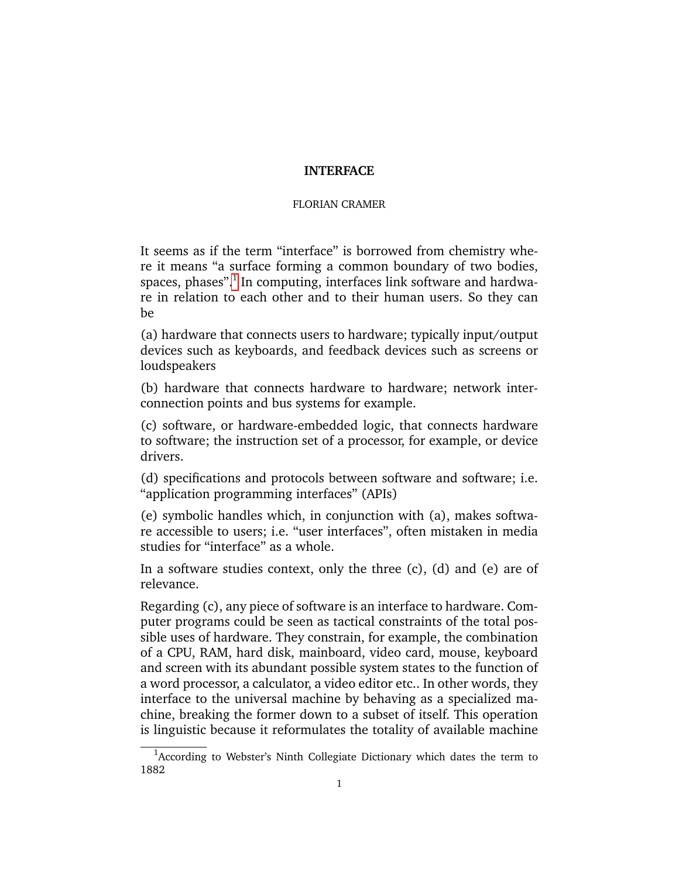## **INTERFACE**

## FLORIAN CRAMER

It seems as if the term "interface" is borrowed from chemistry where it means "a surface forming a common boundary of two bodies, spaces, phases". $^1$  $^1$  In computing, interfaces link software and hardware in relation to each other and to their human users. So they can be

(a) hardware that connects users to hardware; typically input/output devices such as keyboards, and feedback devices such as screens or loudspeakers

(b) hardware that connects hardware to hardware; network interconnection points and bus systems for example.

(c) software, or hardware-embedded logic, that connects hardware to software; the instruction set of a processor, for example, or device drivers.

(d) specifications and protocols between software and software; i.e. "application programming interfaces" (APIs)

(e) symbolic handles which, in conjunction with (a), makes software accessible to users; i.e. "user interfaces", often mistaken in media studies for "interface" as a whole.

In a software studies context, only the three  $(c)$ ,  $(d)$  and  $(e)$  are of relevance.

Regarding (c), any piece of software is an interface to hardware. Computer programs could be seen as tactical constraints of the total possible uses of hardware. They constrain, for example, the combination of a CPU, RAM, hard disk, mainboard, video card, mouse, keyboard and screen with its abundant possible system states to the function of a word processor, a calculator, a video editor etc.. In other words, they interface to the universal machine by behaving as a specialized machine, breaking the former down to a subset of itself. This operation is linguistic because it reformulates the totality of available machine

<span id="page-0-0"></span> $1$ According to Webster's Ninth Collegiate Dictionary which dates the term to 1882